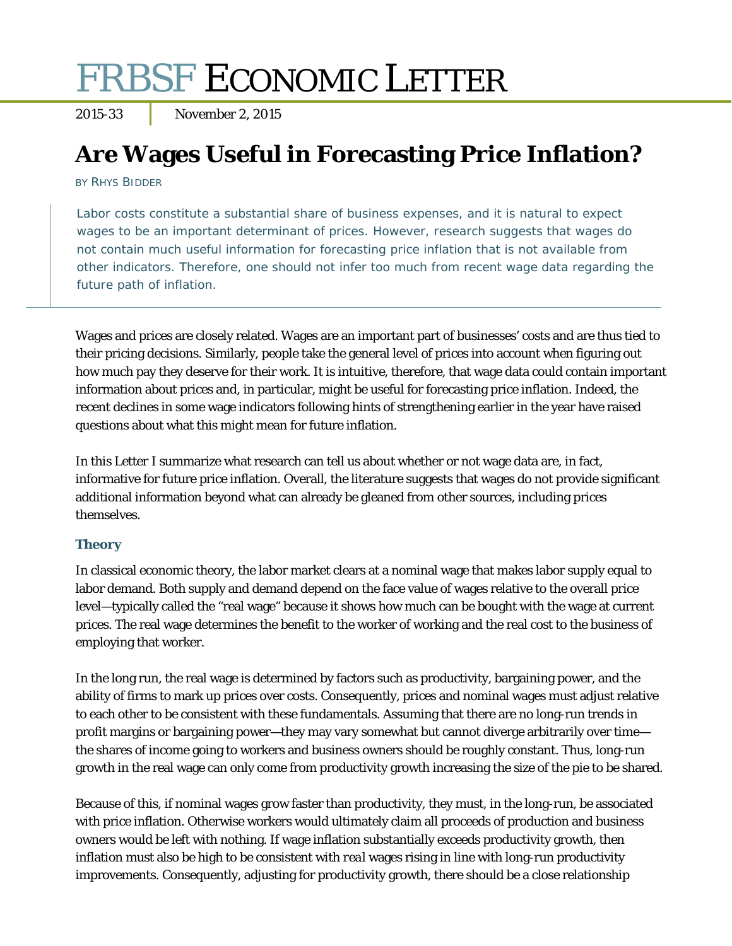# FRBSF ECONOMIC LETTER

2015-33 November 2, 2015

# **Are Wages Useful in Forecasting Price Inflation?**

BY RHYS BIDDER

Labor costs constitute a substantial share of business expenses, and it is natural to expect wages to be an important determinant of prices. However, research suggests that wages do not contain much useful information for forecasting price inflation that is not available from other indicators. Therefore, one should not infer too much from recent wage data regarding the future path of inflation.

Wages and prices are closely related. Wages are an important part of businesses' costs and are thus tied to their pricing decisions. Similarly, people take the general level of prices into account when figuring out how much pay they deserve for their work. It is intuitive, therefore, that wage data could contain important information about prices and, in particular, might be useful for forecasting price inflation. Indeed, the recent declines in some wage indicators following hints of strengthening earlier in the year have raised questions about what this might mean for future inflation.

In this *Letter* I summarize what research can tell us about whether or not wage data are, in fact, informative for future price inflation. Overall, the literature suggests that wages do not provide significant additional information beyond what can already be gleaned from other sources, including prices themselves.

# **Theory**

In classical economic theory, the labor market clears at a nominal wage that makes labor supply equal to labor demand. Both supply and demand depend on the face value of wages relative to the overall price level—typically called the "real wage" because it shows how much can be bought with the wage at current prices. The real wage determines the benefit to the worker of working and the real cost to the business of employing that worker.

In the long run, the real wage is determined by factors such as productivity, bargaining power, and the ability of firms to mark up prices over costs. Consequently, prices and nominal wages must adjust relative to each other to be consistent with these fundamentals. Assuming that there are no long-run trends in profit margins or bargaining power—they may vary somewhat but cannot diverge arbitrarily over time the shares of income going to workers and business owners should be roughly constant. Thus, long-run growth in the real wage can only come from productivity growth increasing the size of the pie to be shared.

Because of this, if nominal wages grow faster than productivity, they must, in the long-run, be associated with price inflation. Otherwise workers would ultimately claim all proceeds of production and business owners would be left with nothing. If wage inflation substantially exceeds productivity growth, then inflation must also be high to be consistent with *real* wages rising in line with long-run productivity improvements. Consequently, adjusting for productivity growth, there should be a close relationship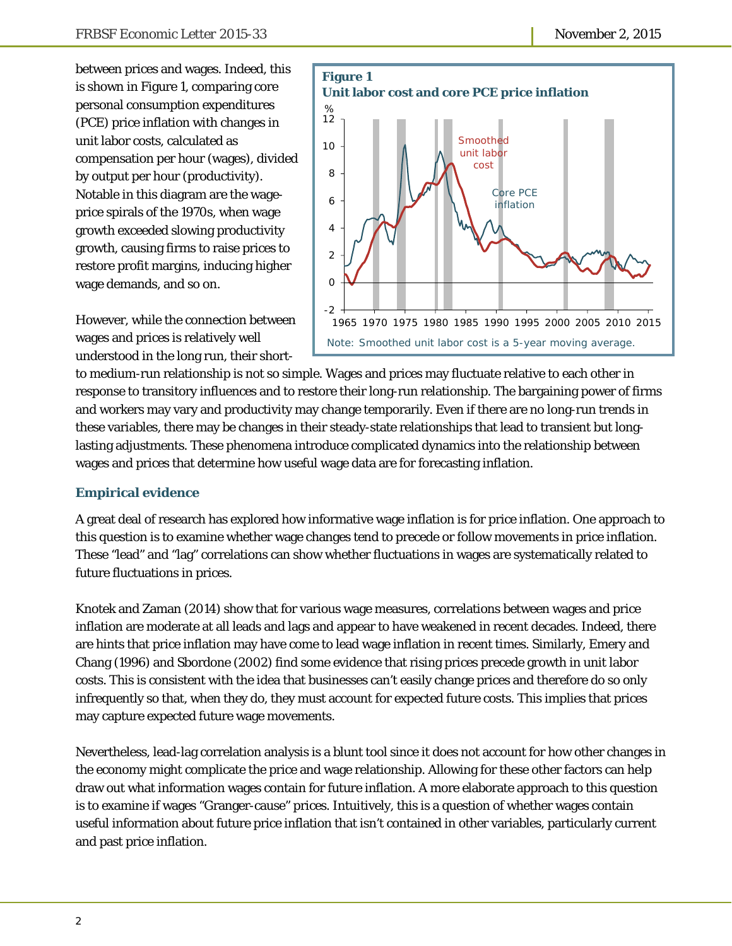between prices and wages. Indeed, this is shown in Figure 1, comparing core personal consumption expenditures (PCE) price inflation with changes in unit labor costs, calculated as compensation per hour (wages), divided by output per hour (productivity). Notable in this diagram are the wageprice spirals of the 1970s, when wage growth exceeded slowing productivity growth, causing firms to raise prices to restore profit margins, inducing higher wage demands, and so on.



However, while the connection between wages and prices is relatively well understood in the long run, their short-

to medium-run relationship is not so simple. Wages and prices may fluctuate relative to each other in response to transitory influences and to restore their long-run relationship. The bargaining power of firms and workers may vary and productivity may change temporarily. Even if there are no long-run trends in these variables, there may be changes in their steady-state relationships that lead to transient but longlasting adjustments. These phenomena introduce complicated dynamics into the relationship between wages and prices that determine how useful wage data are for forecasting inflation.

#### **Empirical evidence**

A great deal of research has explored how informative wage inflation is for price inflation. One approach to this question is to examine whether wage changes tend to precede or follow movements in price inflation. These "lead" and "lag" correlations can show whether fluctuations in wages are systematically related to future fluctuations in prices.

Knotek and Zaman (2014) show that for various wage measures, correlations between wages and price inflation are moderate at all leads and lags and appear to have weakened in recent decades. Indeed, there are hints that price inflation may have come to lead wage inflation in recent times. Similarly, Emery and Chang (1996) and Sbordone (2002) find some evidence that rising prices precede growth in unit labor costs. This is consistent with the idea that businesses can't easily change prices and therefore do so only infrequently so that, when they do, they must account for expected future costs. This implies that prices may capture expected future wage movements.

Nevertheless, lead-lag correlation analysis is a blunt tool since it does not account for how other changes in the economy might complicate the price and wage relationship. Allowing for these other factors can help draw out what information wages contain for future inflation. A more elaborate approach to this question is to examine if wages "Granger-cause" prices. Intuitively, this is a question of whether wages contain useful information about future price inflation that isn't contained in other variables, particularly current and past price inflation.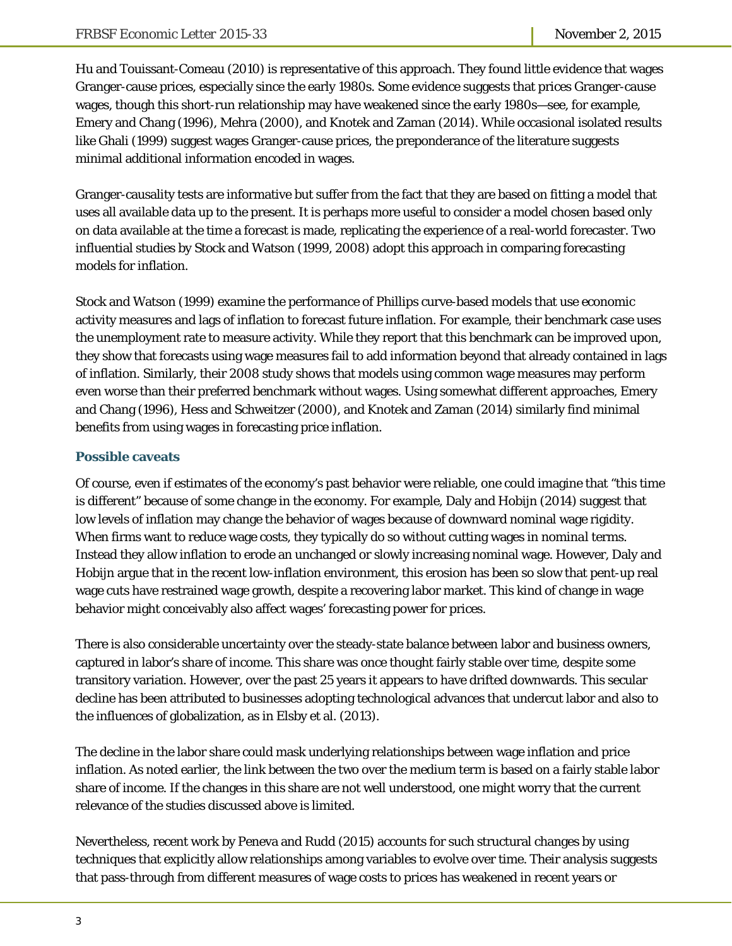Hu and Touissant-Comeau (2010) is representative of this approach. They found little evidence that wages Granger-cause prices, especially since the early 1980s. Some evidence suggests that prices Granger-cause wages, though this short-run relationship may have weakened since the early 1980s—see, for example, Emery and Chang (1996), Mehra (2000), and Knotek and Zaman (2014). While occasional isolated results like Ghali (1999) suggest wages Granger-cause prices, the preponderance of the literature suggests minimal additional information encoded in wages.

Granger-causality tests are informative but suffer from the fact that they are based on fitting a model that uses all available data up to the present. It is perhaps more useful to consider a model chosen based only on data available at the time a forecast is made, replicating the experience of a real-world forecaster. Two influential studies by Stock and Watson (1999, 2008) adopt this approach in comparing forecasting models for inflation.

Stock and Watson (1999) examine the performance of Phillips curve-based models that use economic activity measures and lags of inflation to forecast future inflation. For example, their benchmark case uses the unemployment rate to measure activity. While they report that this benchmark can be improved upon, they show that forecasts using wage measures fail to add information beyond that already contained in lags of inflation. Similarly, their 2008 study shows that models using common wage measures may perform even worse than their preferred benchmark without wages. Using somewhat different approaches, Emery and Chang (1996), Hess and Schweitzer (2000), and Knotek and Zaman (2014) similarly find minimal benefits from using wages in forecasting price inflation.

# **Possible caveats**

Of course, even if estimates of the economy's past behavior were reliable, one could imagine that "this time is different" because of some change in the economy. For example, Daly and Hobijn (2014) suggest that low levels of inflation may change the behavior of wages because of downward nominal wage rigidity. When firms want to reduce wage costs, they typically do so without cutting wages in *nominal* terms. Instead they allow inflation to erode an unchanged or slowly increasing nominal wage. However, Daly and Hobijn argue that in the recent low-inflation environment, this erosion has been so slow that pent-up real wage cuts have restrained wage growth, despite a recovering labor market. This kind of change in wage behavior might conceivably also affect wages' forecasting power for prices.

There is also considerable uncertainty over the steady-state balance between labor and business owners, captured in labor's share of income. This share was once thought fairly stable over time, despite some transitory variation. However, over the past 25 years it appears to have drifted downwards. This secular decline has been attributed to businesses adopting technological advances that undercut labor and also to the influences of globalization, as in Elsby et al. (2013).

The decline in the labor share could mask underlying relationships between wage inflation and price inflation. As noted earlier, the link between the two over the medium term is based on a fairly stable labor share of income. If the changes in this share are not well understood, one might worry that the current relevance of the studies discussed above is limited.

Nevertheless, recent work by Peneva and Rudd (2015) accounts for such structural changes by using techniques that explicitly allow relationships among variables to evolve over time. Their analysis suggests that pass-through from different measures of wage costs to prices has weakened in recent years or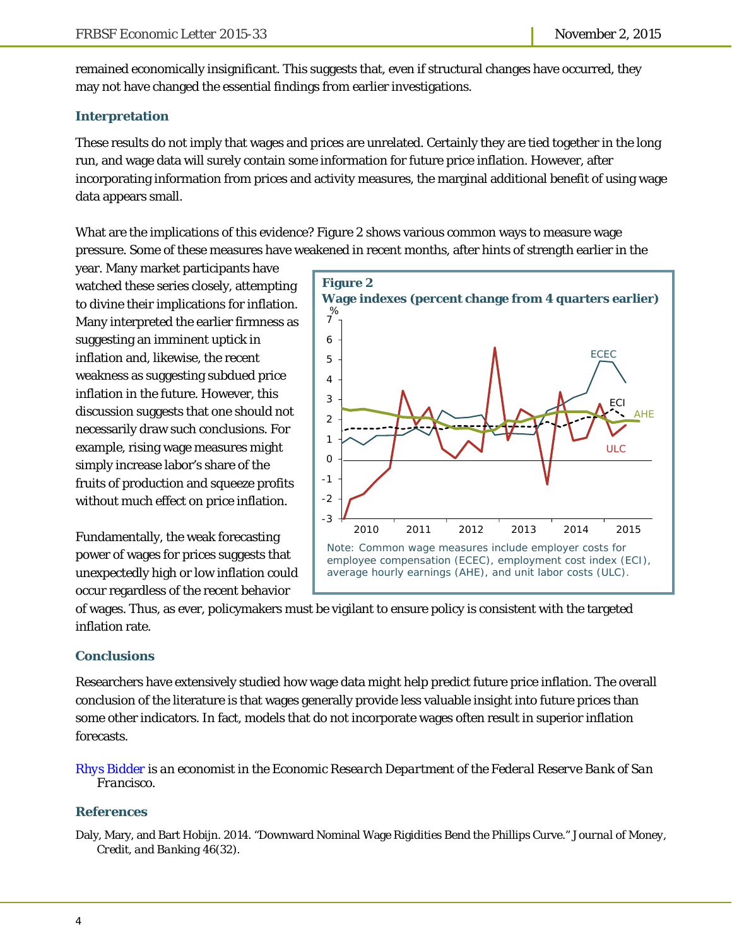remained economically insignificant. This suggests that, even if structural changes have occurred, they may not have changed the essential findings from earlier investigations.

#### **Interpretation**

These results do not imply that wages and prices are unrelated. Certainly they are tied together in the long run, and wage data will surely contain *some* information for future price inflation. However, after incorporating information from prices and activity measures, the marginal additional benefit of using wage data appears small.

What are the implications of this evidence? Figure 2 shows various common ways to measure wage pressure. Some of these measures have weakened in recent months, after hints of strength earlier in the

year. Many market participants have watched these series closely, attempting to divine their implications for inflation. Many interpreted the earlier firmness as suggesting an imminent uptick in inflation and, likewise, the recent weakness as suggesting subdued price inflation in the future. However, this discussion suggests that one should not necessarily draw such conclusions. For example, rising wage measures might simply increase labor's share of the fruits of production and squeeze profits without much effect on price inflation.

Fundamentally, the weak forecasting power of wages for prices suggests that unexpectedly high or low inflation could occur regardless of the recent behavior



of wages. Thus, as ever, policymakers must be vigilant to ensure policy is consistent with the targeted inflation rate.

# **Conclusions**

Researchers have extensively studied how wage data might help predict future price inflation. The overall conclusion of the literature is that wages generally provide less valuable insight into future prices than some other indicators. In fact, models that do not incorporate wages often result in superior inflation forecasts.

#### *[Rhys Bidder](http://www.frbsf.org/economic-research/economists/rhys-bidder/) is an economist in the Economic Research Department of the Federal Reserve Bank of San Francisco.*

# **References**

Daly, Mary, and Bart Hobijn. 2014. "Downward Nominal Wage Rigidities Bend the Phillips Curve." *Journal of Money, Credit, and Banking* 46(32).